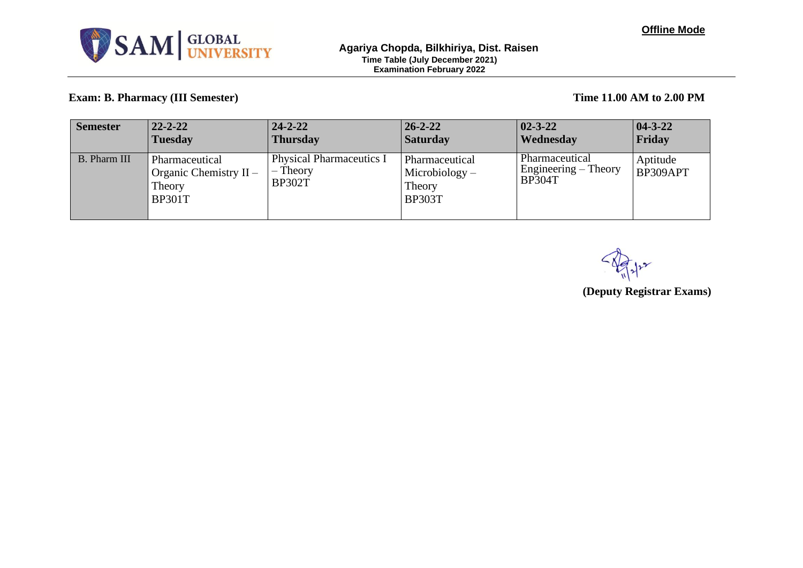

## **Exam: B. Pharmacy (III Semester) Time 11.00 AM to 2.00 PM**

| <b>Semester</b>     | $22 - 2 - 22$                                                         | $24 - 2 - 22$                                              | $26 - 2 - 22$                                                 | $ 02 - 3 - 22 $                                           | $ 04 - 3 - 22 $      |
|---------------------|-----------------------------------------------------------------------|------------------------------------------------------------|---------------------------------------------------------------|-----------------------------------------------------------|----------------------|
|                     | <b>Tuesday</b>                                                        | <b>Thursday</b>                                            | <b>Saturday</b>                                               | Wednesday                                                 | Friday               |
| <b>B.</b> Pharm III | Pharmaceutical<br>Organic Chemistry $II -$<br>Theory<br><b>BP301T</b> | <b>Physical Pharmaceutics I</b><br>Theory<br><b>BP302T</b> | Pharmaceutical<br>$Microbiology -$<br>Theory<br><b>BP303T</b> | Pharmaceutical<br>Engineering $-$ Theory<br><b>BP304T</b> | Aptitude<br>BP309APT |

**(Deputy Registrar Exams)**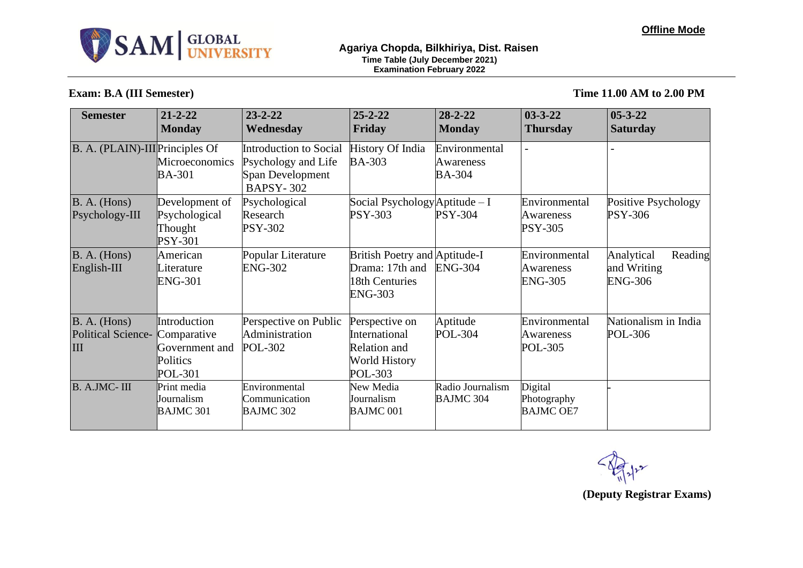

## **Exam: B.A (III Semester) Time 11.00 AM to 2.00 PM**

| <b>Semester</b>                                  | $21 - 2 - 22$<br><b>Monday</b>                                              | $23 - 2 - 22$<br>Wednesday                                                            | $25 - 2 - 22$<br>Friday                                                                   | $28 - 2 - 22$<br><b>Monday</b>              | $03 - 3 - 22$<br>Thursday                    | $05 - 3 - 22$<br><b>Saturday</b>                       |
|--------------------------------------------------|-----------------------------------------------------------------------------|---------------------------------------------------------------------------------------|-------------------------------------------------------------------------------------------|---------------------------------------------|----------------------------------------------|--------------------------------------------------------|
| B. A. (PLAIN)-III Principles Of                  | <b>Microeconomics</b><br><b>BA-301</b>                                      | Introduction to Social<br>Psychology and Life<br>Span Development<br><b>BAPSY-302</b> | <b>History Of India</b><br><b>BA-303</b>                                                  | Environmental<br>Awareness<br><b>BA-304</b> |                                              |                                                        |
| B. A. (Hons)<br>Psychology-III                   | Development of<br>Psychological<br>Thought<br><b>PSY-301</b>                | Psychological<br>Research<br><b>PSY-302</b>                                           | Social Psychology Aptitude - I<br><b>PSY-303</b>                                          | <b>PSY-304</b>                              | Environmental<br>Awareness<br><b>PSY-305</b> | Positive Psychology<br>PSY-306                         |
| B. A. (Hons)<br>English-III                      | American<br>Literature<br><b>ENG-301</b>                                    | Popular Literature<br><b>ENG-302</b>                                                  | British Poetry and Aptitude-I<br>Drama: 17th and<br>18th Centuries<br><b>ENG-303</b>      | <b>ENG-304</b>                              | Environmental<br>Awareness<br><b>ENG-305</b> | Analytical<br>Reading<br>and Writing<br><b>ENG-306</b> |
| B. A. (Hons)<br><b>Political Science-</b><br>III | Introduction<br>Comparative<br>Government and<br>Politics<br><b>POL-301</b> | Perspective on Public<br>Administration<br><b>POL-302</b>                             | Perspective on<br>International<br><b>Relation and</b><br><b>World History</b><br>POL-303 | Aptitude<br><b>POL-304</b>                  | Environmental<br>Awareness<br>POL-305        | Nationalism in India<br>POL-306                        |
| B. A.JMC-III                                     | Print media<br>Journalism<br><b>BAJMC 301</b>                               | Environmental<br>Communication<br><b>BAJMC 302</b>                                    | New Media<br>Journalism<br><b>BAJMC 001</b>                                               | Radio Journalism<br><b>BAJMC 304</b>        | Digital<br>Photography<br><b>BAJMC OE7</b>   |                                                        |

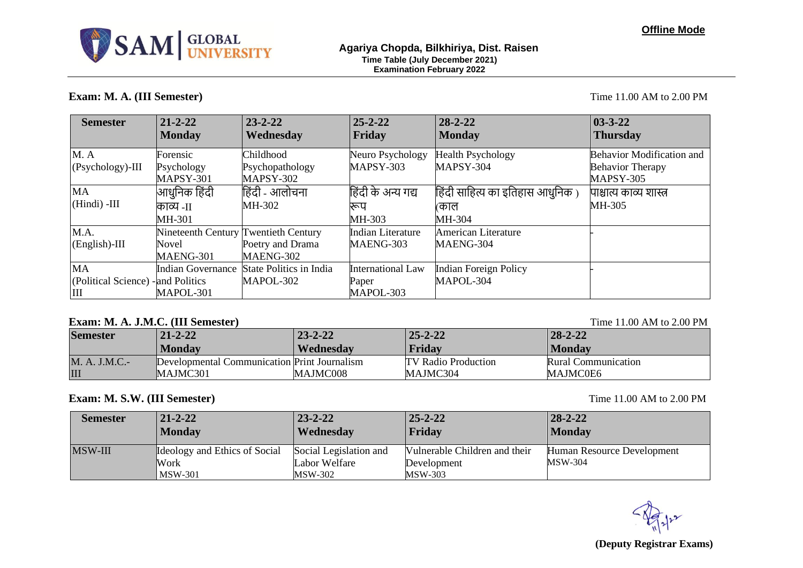

## **Exam: M. A. (III Semester)** Time 11.00 AM to 2.00 PM

| <b>Semester</b>                    | $21 - 2 - 22$                        | $23 - 2 - 22$                             | $25 - 2 - 22$            | $28 - 2 - 22$                    | $03 - 3 - 22$                    |
|------------------------------------|--------------------------------------|-------------------------------------------|--------------------------|----------------------------------|----------------------------------|
|                                    | <b>Monday</b>                        | Wednesday                                 | Friday                   | <b>Monday</b>                    | <b>Thursday</b>                  |
| M.A                                | Forensic                             | Childhood                                 | Neuro Psychology         | <b>Health Psychology</b>         | <b>Behavior Modification and</b> |
| $(Psychology)$ -III                | Psychology                           | Psychopathology                           | MAPSY-303                | MAPSY-304                        | <b>Behavior Therapy</b>          |
|                                    | MAPSY-301                            | <b>MAPSY-302</b>                          |                          |                                  | MAPSY-305                        |
| <b>MA</b>                          | आधुनिक हिंदी                         | हिंदी - आलोचना                            | हिंदी के अन्य गद्य       | हिंदी साहित्य का इतिहास आधुनिक ) | पाश्चात्य काव्य शास्त्र          |
| (Hindi) -III                       | काव्य -11                            | MH-302                                    | रूप                      | काल                              | MH-305                           |
|                                    | MH-301                               |                                           | MH-303                   | MH-304                           |                                  |
| M.A.                               | Nineteenth Century Twentieth Century |                                           | <b>Indian Literature</b> | American Literature              |                                  |
| $(English)$ -III                   | <b>Novel</b>                         | Poetry and Drama                          | MAENG-303                | MAENG-304                        |                                  |
|                                    | MAENG-301                            | MAENG-302                                 |                          |                                  |                                  |
| <b>MA</b>                          |                                      | Indian Governance State Politics in India | <b>International Law</b> | <b>Indian Foreign Policy</b>     |                                  |
| (Political Science) - and Politics |                                      | MAPOL-302                                 | Paper                    | MAPOL-304                        |                                  |
| Ш                                  | MAPOL-301                            |                                           | MAPOL-303                |                                  |                                  |

## **Exam: M. A. J.M.C. (III Semester)** Time 11.00 AM to 2.00 PM

| <b>Semester</b> | $21 - 2 - 22$                                | $23 - 2 - 22$ | $25 - 2 - 22$       | $28 - 2 - 22$       |
|-----------------|----------------------------------------------|---------------|---------------------|---------------------|
|                 | <b>Monday</b>                                | Wednesday     | Friday              | <b>Monday</b>       |
| M. A. J.M.C.-   | Developmental Communication Print Journalism |               | TV Radio Production | Rural Communication |
| III             | MAJMC301                                     | MAJMC008      | MAJMC304            | MAJMC0E6            |

# **Exam: M. S.W. (III Semester)** Time 11.00 AM to 2.00 PM

| <b>Semester</b> | $21 - 2 - 22$                                           | $23 - 2 - 22$                                      | $25 - 2 - 22$                                           | $28 - 2 - 22$                                |
|-----------------|---------------------------------------------------------|----------------------------------------------------|---------------------------------------------------------|----------------------------------------------|
|                 | <b>Monday</b>                                           | Wednesday                                          | Friday                                                  | <b>Monday</b>                                |
| <b>MSW-III</b>  | Ideology and Ethics of Social<br>Work<br><b>MSW-301</b> | Social Legislation and<br>Labor Welfare<br>MSW-302 | Vulnerable Children and their<br>Development<br>MSW-303 | Human Resource Development<br><b>MSW-304</b> |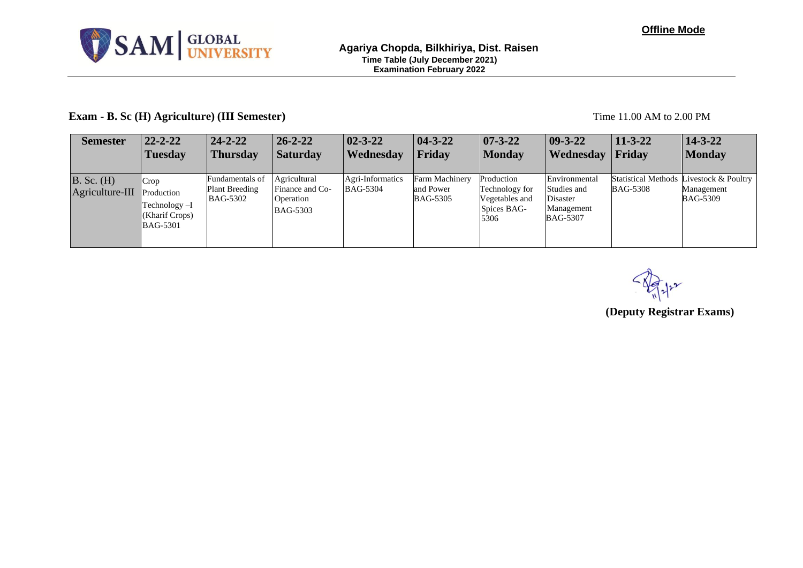

## **Exam - B. Sc (H) Agriculture) (III Semester)** Time 11.00 AM to 2.00 PM

| <b>Semester</b>                              | $22 - 2 - 22$                                      | $24 - 2 - 22$                                               | $26 - 2 - 22$                                                   | $02 - 3 - 22$                       | $ 04 - 3 - 22 $                                | $ 07-3-22 $                                                           | $ 09-3-22 $                                                               | $11 - 3 - 22$   | $14 - 3 - 22$                                                            |
|----------------------------------------------|----------------------------------------------------|-------------------------------------------------------------|-----------------------------------------------------------------|-------------------------------------|------------------------------------------------|-----------------------------------------------------------------------|---------------------------------------------------------------------------|-----------------|--------------------------------------------------------------------------|
|                                              | <b>Tuesday</b>                                     | <b>Thursday</b>                                             | <b>Saturday</b>                                                 | Wednesday                           | Friday                                         | <b>Monday</b>                                                         | <b>Wednesday</b>                                                          | Friday          | <b>Monday</b>                                                            |
| $B.$ Sc. $(H)$<br>Agriculture-III Production | Crop<br>Technology-I<br>(Kharif Crops)<br>BAG-5301 | Fundamentals of<br><b>Plant Breeding</b><br><b>BAG-5302</b> | Agricultural<br>Finance and Co-<br>Operation<br><b>BAG-5303</b> | Agri-Informatics<br><b>BAG-5304</b> | Farm Machinery<br>and Power<br><b>BAG-5305</b> | Production<br>Technology for<br>Vegetables and<br>Spices BAG-<br>5306 | Environmental<br>Studies and<br>Disaster<br>Management<br><b>BAG-5307</b> | <b>BAG-5308</b> | Statistical Methods Livestock & Poultry<br>Management<br><b>BAG-5309</b> |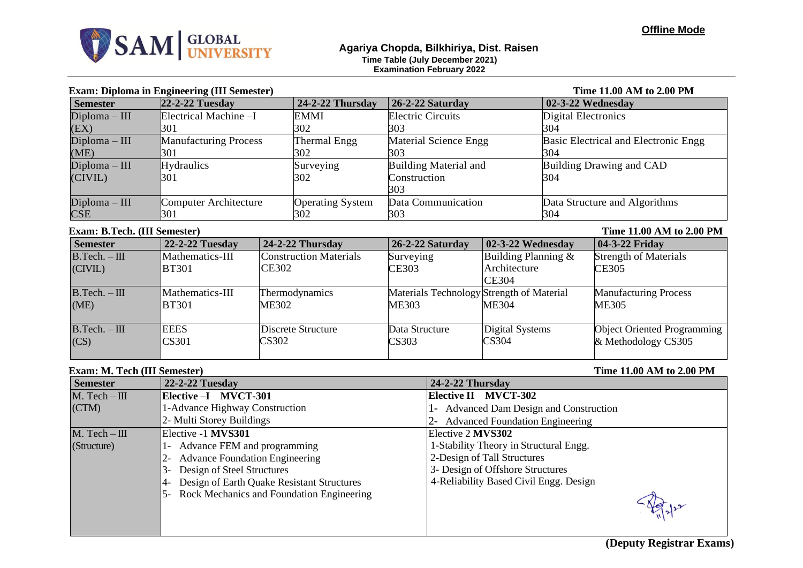

## **Exam: Diploma in Engineering (III Semester) Time 11.00 AM to 2.00 PM**

| <b>Semester</b> | 22-2-22 Tuesday              | $24-2-22$ Thursday      | 26-2-22 Saturday         | 02-3-22 Wednesday                    |
|-----------------|------------------------------|-------------------------|--------------------------|--------------------------------------|
| $Diploma - III$ | Electrical Machine -I        | <b>EMMI</b>             | <b>Electric Circuits</b> | Digital Electronics                  |
| (EX)            | B01                          | 302                     | 303                      | 304                                  |
| $Diploma - III$ | <b>Manufacturing Process</b> | Thermal Engg            | Material Science Engg    | Basic Electrical and Electronic Engg |
| (ME)            | 301                          | 302                     | 303                      | 304                                  |
| $Diploma - III$ | <b>Hydraulics</b>            | Surveying               | Building Material and    | Building Drawing and CAD             |
| (CIVIL)         | 301                          | 302                     | Construction             | 304                                  |
|                 |                              |                         | 303                      |                                      |
| $Diploma - III$ | <b>Computer Architecture</b> | <b>Operating System</b> | Data Communication       | Data Structure and Algorithms        |
| CSE             | 301                          | 302                     | 303                      | 304                                  |

## **Exam: B.Tech. (III Semester)** Time 11.00 AM to 2.00 PM

| <b>Semester</b>            | 22-2-22 Tuesday             | $24-2-22$ Thursday                            | 26-2-22 Saturday                                   | $\sqrt{02-3-22}$ Wednesday                             | 04-3-22 Friday                                     |  |  |
|----------------------------|-----------------------------|-----------------------------------------------|----------------------------------------------------|--------------------------------------------------------|----------------------------------------------------|--|--|
| $B.Tech. - III$<br>(CIVIL) | Mathematics-III<br>BT301    | <b>Construction Materials</b><br><b>CE302</b> | Surveying<br>CE303                                 | Building Planning $\&$<br>Architecture<br><b>CE304</b> | <b>Strength of Materials</b><br>CE305              |  |  |
| $B.Tech. - III$<br>(ME)    | Mathematics-III<br>BT301    | Thermodynamics<br>ME302                       | Materials Technology Strength of Material<br>ME303 | ME304                                                  | <b>Manufacturing Process</b><br>ME305              |  |  |
| $B.Tech. - III$<br>(CS)    | <b>EEES</b><br><b>CS301</b> | Discrete Structure<br>CS302                   | Data Structure<br>CS303                            | Digital Systems<br>CS304                               | Object Oriented Programming<br>& Methodology CS305 |  |  |

## **Exam: M. Tech (III Semester)** Time 11.00 AM to 2.00 PM

| <b>EXIGINI ITAL A CUM (AAA D'UMIUDIUM</b> |                                            |                                         |
|-------------------------------------------|--------------------------------------------|-----------------------------------------|
| <b>Semester</b>                           | <b>22-2-22 Tuesday</b>                     | 24-2-22 Thursday                        |
| $M.$ Tech $-III$                          | Elective - I MVCT-301                      | <b>Elective II MVCT-302</b>             |
| (CTM)                                     | 1-Advance Highway Construction             | 1- Advanced Dam Design and Construction |
|                                           | 2- Multi Storey Buildings                  | 2- Advanced Foundation Engineering      |
| $M.$ Tech $-III$                          | Elective -1 MVS301                         | Elective 2 MVS302                       |
| (Structure)                               | Advance FEM and programming<br>1-          | 1-Stability Theory in Structural Engg.  |
|                                           | <b>Advance Foundation Engineering</b>      | 2-Design of Tall Structures             |
|                                           | Design of Steel Structures                 | 3- Design of Offshore Structures        |
|                                           | Design of Earth Quake Resistant Structures | 4-Reliability Based Civil Engg. Design  |
|                                           | Rock Mechanics and Foundation Engineering  |                                         |
|                                           |                                            |                                         |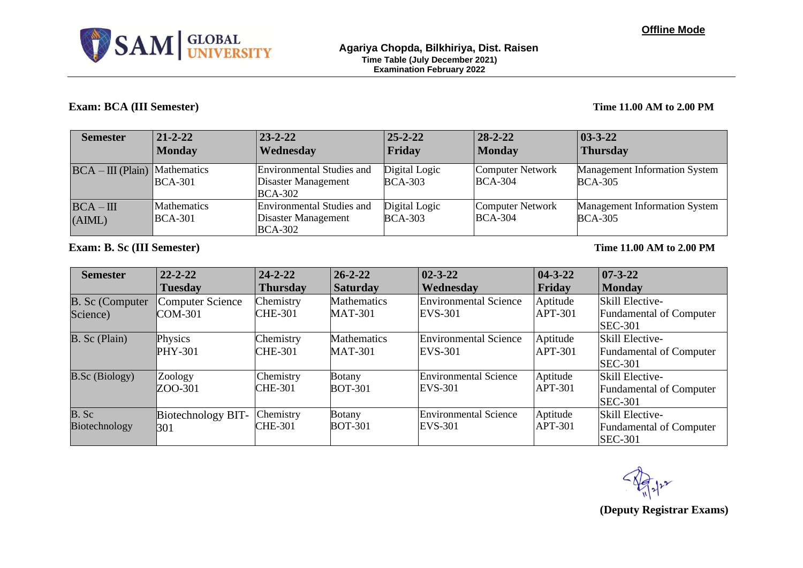

## **Exam: BCA (III Semester) Time 11.00 AM to 2.00 PM**

| <b>Semester</b>                 | $21 - 2 - 22$                  | $23 - 2 - 22$                                                      | $25 - 2 - 22$                   | $28 - 2 - 22$                             | $ 03-3-22 $                                            |
|---------------------------------|--------------------------------|--------------------------------------------------------------------|---------------------------------|-------------------------------------------|--------------------------------------------------------|
|                                 | <b>Monday</b>                  | Wednesday                                                          | Friday                          | <b>Monday</b>                             | <b>Thursday</b>                                        |
| $BCA - III$ (Plain) Mathematics | <b>BCA-301</b>                 | Environmental Studies and<br>Disaster Management<br><b>BCA-302</b> | Digital Logic<br><b>BCA-303</b> | <b>Computer Network</b><br><b>BCA-304</b> | <b>Management Information System</b><br><b>BCA-305</b> |
| $BCA - III$<br>(AIML)           | <b>Mathematics</b><br> BCA-301 | Environmental Studies and<br>Disaster Management<br><b>BCA-302</b> | Digital Logic<br><b>BCA-303</b> | Computer Network<br><b>BCA-304</b>        | <b>Management Information System</b><br><b>BCA-305</b> |

**Exam: B. Sc (III Semester) Time 11.00 AM to 2.00 PM**

| <b>Semester</b>                    | $22 - 2 - 22$                 | $24 - 2 - 22$               | $26 - 2 - 22$                        | $02 - 3 - 22$                                  | $04 - 3 - 22$              | $07 - 3 - 22$                                                              |
|------------------------------------|-------------------------------|-----------------------------|--------------------------------------|------------------------------------------------|----------------------------|----------------------------------------------------------------------------|
|                                    | <b>Tuesday</b>                | <b>Thursday</b>             | <b>Saturday</b>                      | Wednesday                                      | Friday                     | <b>Monday</b>                                                              |
| <b>B.</b> Sc (Computer<br>Science) | Computer Science<br>$COM-301$ | Chemistry<br><b>CHE-301</b> | <b>Mathematics</b><br><b>MAT-301</b> | <b>Environmental Science</b><br>EVS-301        | Aptitude<br><b>APT-301</b> | <b>Skill Elective-</b><br><b>Fundamental of Computer</b><br><b>SEC-301</b> |
| B. Sc (Plain)                      | Physics<br><b>PHY-301</b>     | Chemistry<br><b>CHE-301</b> | Mathematics<br><b>MAT-301</b>        | <b>Environmental Science</b><br>EVS-301        | Aptitude<br><b>APT-301</b> | <b>Skill Elective-</b><br><b>Fundamental of Computer</b><br><b>SEC-301</b> |
| <b>B.Sc</b> (Biology)              | Zoology<br>ZOO-301            | Chemistry<br><b>CHE-301</b> | <b>Botany</b><br><b>BOT-301</b>      | <b>Environmental Science</b><br><b>EVS-301</b> | Aptitude<br><b>APT-301</b> | <b>Skill Elective-</b><br><b>Fundamental of Computer</b><br><b>SEC-301</b> |
| B. Sc<br>Biotechnology             | Biotechnology BIT-<br>301     | Chemistry<br><b>CHE-301</b> | <b>Botany</b><br><b>BOT-301</b>      | <b>Environmental Science</b><br>EVS-301        | Aptitude<br><b>APT-301</b> | <b>Skill Elective-</b><br><b>Fundamental of Computer</b><br><b>SEC-301</b> |

**(Deputy Registrar Exams)**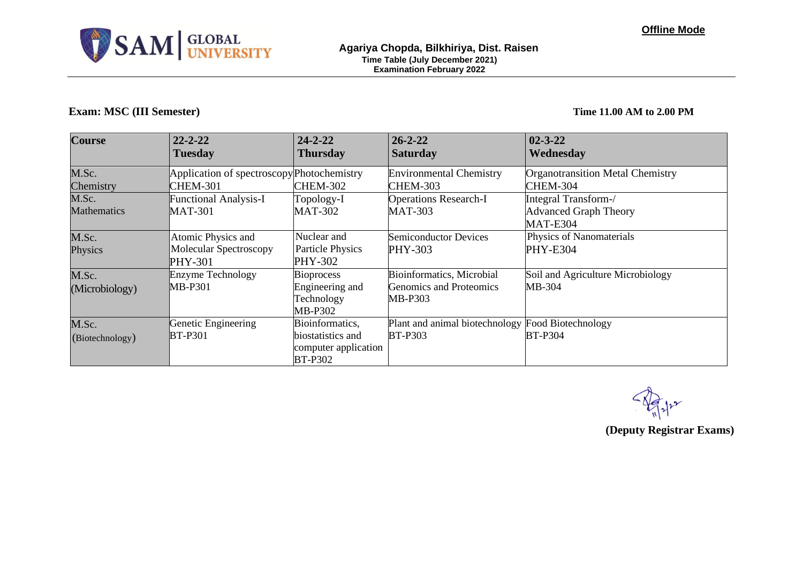

## **Exam: MSC (III Semester) Time 11.00 AM to 2.00 PM**

| <b>Course</b>               | $22 - 2 - 22$<br><b>Tuesday</b>                                       | $24 - 2 - 22$<br><b>Thursday</b>                                               | $26 - 2 - 22$<br><b>Saturday</b>                                       | $02 - 3 - 22$<br>Wednesday                                              |
|-----------------------------|-----------------------------------------------------------------------|--------------------------------------------------------------------------------|------------------------------------------------------------------------|-------------------------------------------------------------------------|
| M.Sc.<br>Chemistry          | Application of spectroscopy Photochemistry<br><b>CHEM-301</b>         | <b>CHEM-302</b>                                                                | <b>Environmental Chemistry</b><br>CHEM-303                             | <b>Organotransition Metal Chemistry</b><br><b>CHEM-304</b>              |
| M.Sc.<br><b>Mathematics</b> | <b>Functional Analysis-I</b><br><b>MAT-301</b>                        | Topology-I<br><b>MAT-302</b>                                                   | <b>Operations Research-I</b><br><b>MAT-303</b>                         | Integral Transform-/<br><b>Advanced Graph Theory</b><br><b>MAT-E304</b> |
| M.Sc.<br>Physics            | Atomic Physics and<br><b>Molecular Spectroscopy</b><br><b>PHY-301</b> | Nuclear and<br><b>Particle Physics</b><br>PHY-302                              | <b>Semiconductor Devices</b><br>PHY-303                                | Physics of Nanomaterials<br><b>PHY-E304</b>                             |
| M.Sc.<br>(Microbiology)     | <b>Enzyme Technology</b><br>MB-P301                                   | <b>Bioprocess</b><br>Engineering and<br>Technology<br><b>MB-P302</b>           | Bioinformatics, Microbial<br><b>Genomics and Proteomics</b><br>MB-P303 | Soil and Agriculture Microbiology<br>MB-304                             |
| M.Sc.<br>(Biotechnology)    | Genetic Engineering<br><b>BT-P301</b>                                 | Bioinformatics,<br>biostatistics and<br>computer application<br><b>BT-P302</b> | Plant and animal biotechnology<br><b>BT-P303</b>                       | Food Biotechnology<br><b>BT-P304</b>                                    |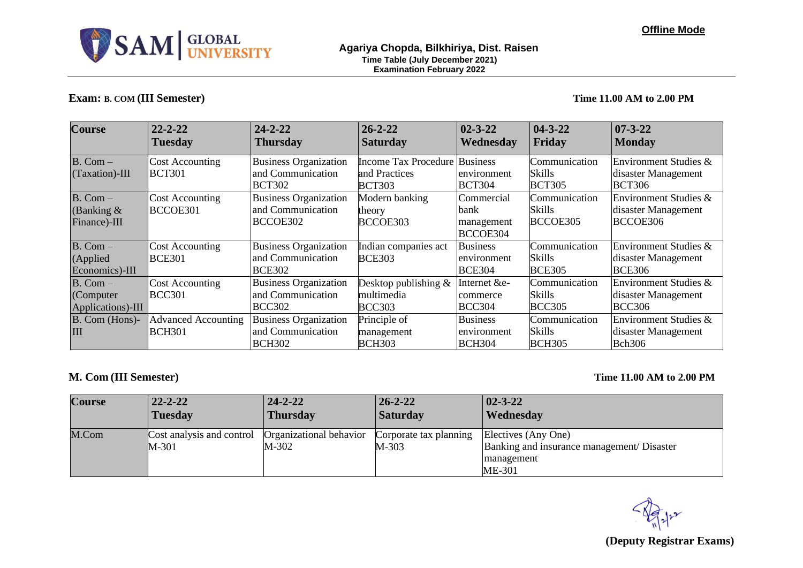

# **Exam: B. COM (III Semester) Time 11.00 AM to 2.00 PM**

| <b>Course</b>                                 | $22 - 2 - 22$<br><b>Tuesday</b>             | $24 - 2 - 22$<br><b>Thursday</b>                                   | $26 - 2 - 22$<br><b>Saturday</b>                       | $02 - 3 - 22$<br>Wednesday                      | $ 04-3-22 $<br>Friday                    | $07 - 3 - 22$<br><b>Monday</b>                                |
|-----------------------------------------------|---------------------------------------------|--------------------------------------------------------------------|--------------------------------------------------------|-------------------------------------------------|------------------------------------------|---------------------------------------------------------------|
|                                               |                                             |                                                                    |                                                        |                                                 |                                          |                                                               |
| $B.$ Com $-$                                  | <b>Cost Accounting</b>                      | <b>Business Organization</b>                                       | <b>Income Tax Procedure Business</b>                   |                                                 | Communication                            | Environment Studies &                                         |
| (Taxation)-III                                | <b>BCT301</b>                               | and Communication<br><b>BCT302</b>                                 | and Practices<br><b>BCT303</b>                         | environment<br><b>BCT304</b>                    | Skills<br><b>BCT305</b>                  | disaster Management<br><b>BCT306</b>                          |
| $B.$ Com $-$<br>(Banking $\&$<br>Finance)-III | <b>Cost Accounting</b><br>BCCOE301          | <b>Business Organization</b><br>and Communication<br>BCCOE302      | Modern banking<br>theory<br>BCCOE303                   | Commercial<br>bank<br>management<br>BCCOE304    | Communication<br>Skills<br>BCCOE305      | Environment Studies &<br>disaster Management<br>BCCOE306      |
| $B. Com -$<br>(Applied)<br>Economics)-III     | <b>Cost Accounting</b><br><b>BCE301</b>     | <b>Business Organization</b><br>and Communication<br><b>BCE302</b> | Indian companies act<br><b>BCE303</b>                  | <b>Business</b><br>environment<br><b>BCE304</b> | Communication<br>Skills<br><b>BCE305</b> | Environment Studies &<br>disaster Management<br><b>BCE306</b> |
| $B. Com-$<br>(Computer<br>Applications)-III   | <b>Cost Accounting</b><br><b>BCC301</b>     | <b>Business Organization</b><br>and Communication<br><b>BCC302</b> | Desktop publishing $\&$<br>multimedia<br><b>BCC303</b> | Internet &e-<br>commerce<br><b>BCC304</b>       | Communication<br>Skills<br><b>BCC305</b> | Environment Studies &<br>disaster Management<br><b>BCC306</b> |
| B. Com (Hons)-<br>HН                          | <b>Advanced Accounting</b><br><b>BCH301</b> | <b>Business Organization</b><br>and Communication<br><b>BCH302</b> | Principle of<br>management<br><b>BCH303</b>            | <b>Business</b><br>environment<br><b>BCH304</b> | Communication<br>Skills<br><b>BCH305</b> | Environment Studies &<br>disaster Management<br><b>Bch306</b> |

# **M. Com (III Semester) Time 11.00 AM to 2.00 PM**

| <b>Course</b> | $22 - 2 - 22$                      | $24 - 2 - 22$                    | $26 - 2 - 22$                   | $02 - 3 - 22$                                                                             |
|---------------|------------------------------------|----------------------------------|---------------------------------|-------------------------------------------------------------------------------------------|
|               | <b>Tuesday</b>                     | <b>Thursday</b>                  | <b>Saturday</b>                 | <b>Wednesday</b>                                                                          |
| M.Com         | Cost analysis and control<br>M-301 | Organizational behavior<br>M-302 | Corporate tax planning<br>M-303 | Electives (Any One)<br>Banking and insurance management/ Disaster<br>management<br>ME-301 |